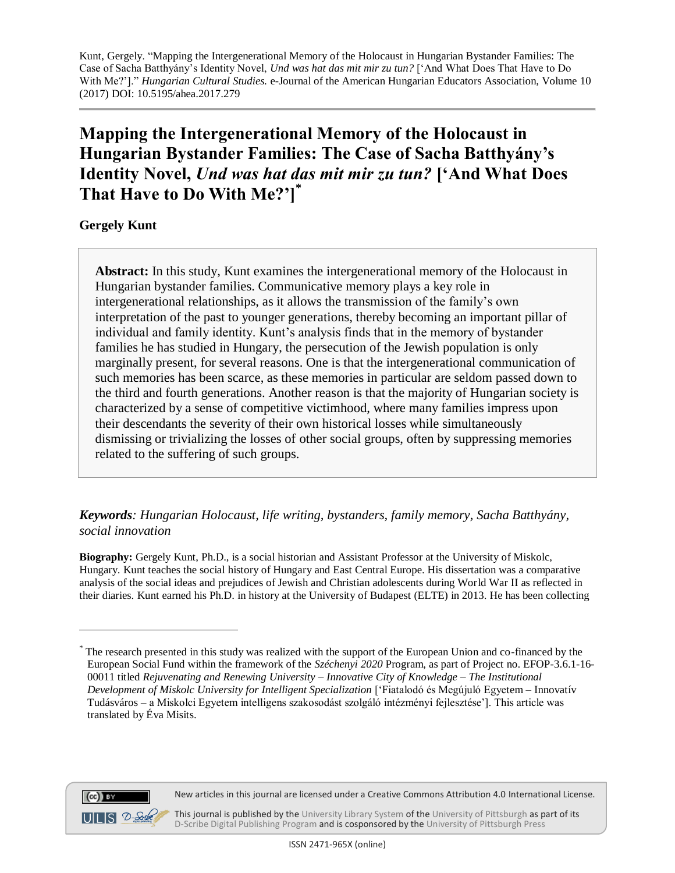# **Mapping the Intergenerational Memory of the Holocaust in Hungarian Bystander Families: The Case of Sacha Batthyány's Identity Novel,** *Und was hat das mit mir zu tun?* **['And What Does That Have to Do With Me?']\***

**Gergely Kunt**

**Abstract:** In this study, Kunt examines the intergenerational memory of the Holocaust in Hungarian bystander families. Communicative memory plays a key role in intergenerational relationships, as it allows the transmission of the family's own interpretation of the past to younger generations, thereby becoming an important pillar of individual and family identity. Kunt's analysis finds that in the memory of bystander families he has studied in Hungary, the persecution of the Jewish population is only marginally present, for several reasons. One is that the intergenerational communication of such memories has been scarce, as these memories in particular are seldom passed down to the third and fourth generations. Another reason is that the majority of Hungarian society is characterized by a sense of competitive victimhood, where many families impress upon their descendants the severity of their own historical losses while simultaneously dismissing or trivializing the losses of other social groups, often by suppressing memories related to the suffering of such groups.

## *Keywords: Hungarian Holocaust, life writing, bystanders, family memory, Sacha Batthyány, social innovation*

**Biography:** Gergely Kunt, Ph.D., is a social historian and Assistant Professor at the University of Miskolc, Hungary. Kunt teaches the social history of Hungary and East Central Europe. His dissertation was a comparative analysis of the social ideas and prejudices of Jewish and Christian adolescents during World War II as reflected in their diaries. Kunt earned his Ph.D. in history at the University of Budapest (ELTE) in 2013. He has been collecting



 $\overline{a}$ 

This journal is published by th[e University Library System](http://www.library.pitt.edu/) of th[e University of Pittsburgh](http://www.pitt.edu/) as part of its [D-Scribe Digital Publishing Program](http://www.library.pitt.edu/articles/digpubtype/index.html) and is cosponsored by the [University of Pittsburgh Press](http://upress.pitt.edu/)

<sup>\*</sup> The research presented in this study was realized with the support of the European Union and co-financed by the European Social Fund within the framework of the *Széchenyi 2020* Program, as part of Project no. EFOP-3.6.1-16- 00011 titled *Rejuvenating and Renewing University – Innovative City of Knowledge – The Institutional Development of Miskolc University for Intelligent Specialization* ['Fiatalodó és Megújuló Egyetem – Innovatív Tudásváros – a Miskolci Egyetem intelligens szakosodást szolgáló intézményi fejlesztése']. This article was translated by Éva Misits.

New articles in this journal are licensed under a Creative Commons Attribution 4.0 International License.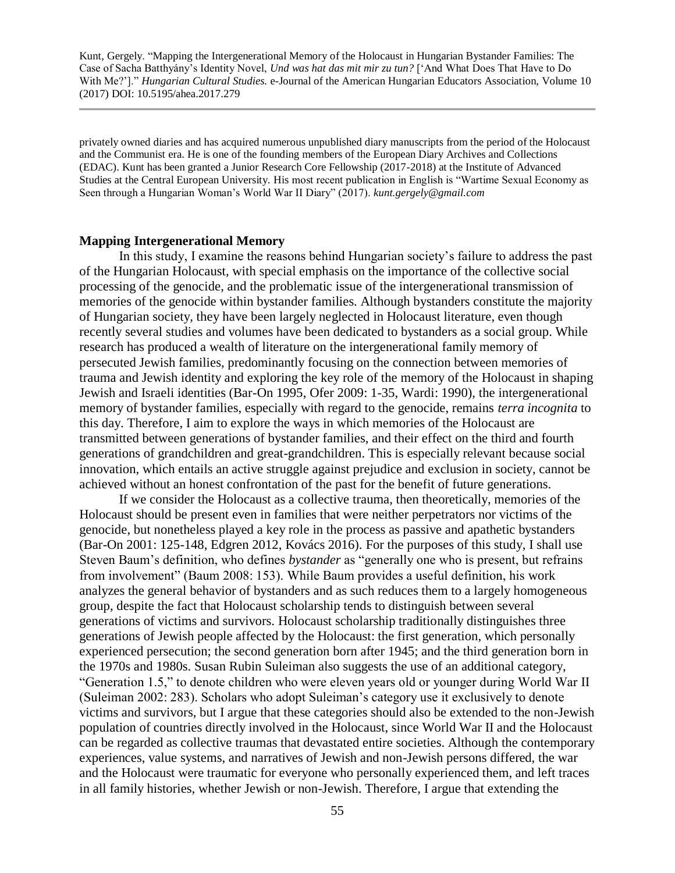privately owned diaries and has acquired numerous unpublished diary manuscripts from the period of the Holocaust and the Communist era. He is one of the founding members of the European Diary Archives and Collections (EDAC). Kunt has been granted a Junior Research Core Fellowship (2017-2018) at the Institute of Advanced Studies at the Central European University. His most recent publication in English is "Wartime Sexual Economy as Seen through a Hungarian Woman's World War II Diary" (2017). *kunt.gergely@gmail.com*

#### **Mapping Intergenerational Memory**

In this study, I examine the reasons behind Hungarian society's failure to address the past of the Hungarian Holocaust, with special emphasis on the importance of the collective social processing of the genocide, and the problematic issue of the intergenerational transmission of memories of the genocide within bystander families. Although bystanders constitute the majority of Hungarian society, they have been largely neglected in Holocaust literature, even though recently several studies and volumes have been dedicated to bystanders as a social group. While research has produced a wealth of literature on the intergenerational family memory of persecuted Jewish families, predominantly focusing on the connection between memories of trauma and Jewish identity and exploring the key role of the memory of the Holocaust in shaping Jewish and Israeli identities (Bar-On 1995, Ofer 2009: 1-35, Wardi: 1990), the intergenerational memory of bystander families, especially with regard to the genocide, remains *terra incognita* to this day. Therefore, I aim to explore the ways in which memories of the Holocaust are transmitted between generations of bystander families, and their effect on the third and fourth generations of grandchildren and great-grandchildren. This is especially relevant because social innovation, which entails an active struggle against prejudice and exclusion in society, cannot be achieved without an honest confrontation of the past for the benefit of future generations.

If we consider the Holocaust as a collective trauma, then theoretically, memories of the Holocaust should be present even in families that were neither perpetrators nor victims of the genocide, but nonetheless played a key role in the process as passive and apathetic bystanders (Bar-On 2001: 125-148, Edgren 2012, Kovács 2016). For the purposes of this study, I shall use Steven Baum's definition, who defines *bystander* as "generally one who is present, but refrains from involvement" (Baum 2008: 153). While Baum provides a useful definition, his work analyzes the general behavior of bystanders and as such reduces them to a largely homogeneous group, despite the fact that Holocaust scholarship tends to distinguish between several generations of victims and survivors. Holocaust scholarship traditionally distinguishes three generations of Jewish people affected by the Holocaust: the first generation, which personally experienced persecution; the second generation born after 1945; and the third generation born in the 1970s and 1980s. Susan Rubin Suleiman also suggests the use of an additional category, "Generation 1.5," to denote children who were eleven years old or younger during World War II (Suleiman 2002: 283). Scholars who adopt Suleiman's category use it exclusively to denote victims and survivors, but I argue that these categories should also be extended to the non-Jewish population of countries directly involved in the Holocaust, since World War II and the Holocaust can be regarded as collective traumas that devastated entire societies. Although the contemporary experiences, value systems, and narratives of Jewish and non-Jewish persons differed, the war and the Holocaust were traumatic for everyone who personally experienced them, and left traces in all family histories, whether Jewish or non-Jewish. Therefore, I argue that extending the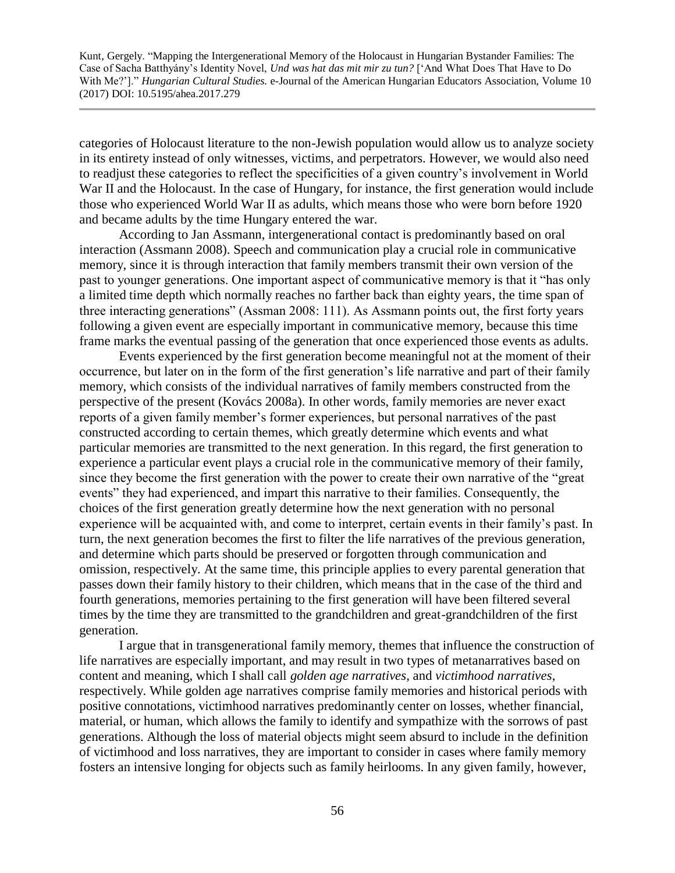categories of Holocaust literature to the non-Jewish population would allow us to analyze society in its entirety instead of only witnesses, victims, and perpetrators. However, we would also need to readjust these categories to reflect the specificities of a given country's involvement in World War II and the Holocaust. In the case of Hungary, for instance, the first generation would include those who experienced World War II as adults, which means those who were born before 1920 and became adults by the time Hungary entered the war.

According to Jan Assmann, intergenerational contact is predominantly based on oral interaction (Assmann 2008). Speech and communication play a crucial role in communicative memory, since it is through interaction that family members transmit their own version of the past to younger generations. One important aspect of communicative memory is that it "has only a limited time depth which normally reaches no farther back than eighty years, the time span of three interacting generations" (Assman 2008: 111). As Assmann points out, the first forty years following a given event are especially important in communicative memory, because this time frame marks the eventual passing of the generation that once experienced those events as adults.

Events experienced by the first generation become meaningful not at the moment of their occurrence, but later on in the form of the first generation's life narrative and part of their family memory, which consists of the individual narratives of family members constructed from the perspective of the present (Kovács 2008a). In other words, family memories are never exact reports of a given family member's former experiences, but personal narratives of the past constructed according to certain themes, which greatly determine which events and what particular memories are transmitted to the next generation. In this regard, the first generation to experience a particular event plays a crucial role in the communicative memory of their family, since they become the first generation with the power to create their own narrative of the "great events" they had experienced, and impart this narrative to their families. Consequently, the choices of the first generation greatly determine how the next generation with no personal experience will be acquainted with, and come to interpret, certain events in their family's past. In turn, the next generation becomes the first to filter the life narratives of the previous generation, and determine which parts should be preserved or forgotten through communication and omission, respectively. At the same time, this principle applies to every parental generation that passes down their family history to their children, which means that in the case of the third and fourth generations, memories pertaining to the first generation will have been filtered several times by the time they are transmitted to the grandchildren and great-grandchildren of the first generation.

I argue that in transgenerational family memory, themes that influence the construction of life narratives are especially important, and may result in two types of metanarratives based on content and meaning, which I shall call *golden age narratives*, and *victimhood narratives*, respectively. While golden age narratives comprise family memories and historical periods with positive connotations, victimhood narratives predominantly center on losses, whether financial, material, or human, which allows the family to identify and sympathize with the sorrows of past generations. Although the loss of material objects might seem absurd to include in the definition of victimhood and loss narratives, they are important to consider in cases where family memory fosters an intensive longing for objects such as family heirlooms. In any given family, however,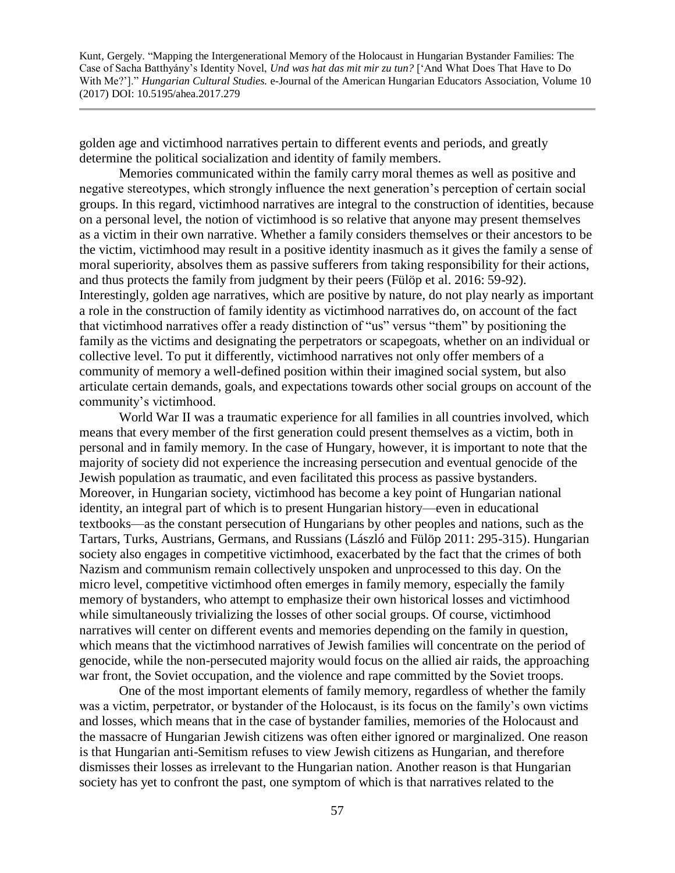golden age and victimhood narratives pertain to different events and periods, and greatly determine the political socialization and identity of family members.

Memories communicated within the family carry moral themes as well as positive and negative stereotypes, which strongly influence the next generation's perception of certain social groups. In this regard, victimhood narratives are integral to the construction of identities, because on a personal level, the notion of victimhood is so relative that anyone may present themselves as a victim in their own narrative. Whether a family considers themselves or their ancestors to be the victim, victimhood may result in a positive identity inasmuch as it gives the family a sense of moral superiority, absolves them as passive sufferers from taking responsibility for their actions, and thus protects the family from judgment by their peers (Fülöp et al. 2016: 59-92). Interestingly, golden age narratives, which are positive by nature, do not play nearly as important a role in the construction of family identity as victimhood narratives do, on account of the fact that victimhood narratives offer a ready distinction of "us" versus "them" by positioning the family as the victims and designating the perpetrators or scapegoats, whether on an individual or collective level. To put it differently, victimhood narratives not only offer members of a community of memory a well-defined position within their imagined social system, but also articulate certain demands, goals, and expectations towards other social groups on account of the community's victimhood.

World War II was a traumatic experience for all families in all countries involved, which means that every member of the first generation could present themselves as a victim, both in personal and in family memory. In the case of Hungary, however, it is important to note that the majority of society did not experience the increasing persecution and eventual genocide of the Jewish population as traumatic, and even facilitated this process as passive bystanders. Moreover, in Hungarian society, victimhood has become a key point of Hungarian national identity, an integral part of which is to present Hungarian history—even in educational textbooks—as the constant persecution of Hungarians by other peoples and nations, such as the Tartars, Turks, Austrians, Germans, and Russians (László and Fülöp 2011: 295-315). Hungarian society also engages in competitive victimhood, exacerbated by the fact that the crimes of both Nazism and communism remain collectively unspoken and unprocessed to this day. On the micro level, competitive victimhood often emerges in family memory, especially the family memory of bystanders, who attempt to emphasize their own historical losses and victimhood while simultaneously trivializing the losses of other social groups. Of course, victimhood narratives will center on different events and memories depending on the family in question, which means that the victimhood narratives of Jewish families will concentrate on the period of genocide, while the non-persecuted majority would focus on the allied air raids, the approaching war front, the Soviet occupation, and the violence and rape committed by the Soviet troops.

One of the most important elements of family memory, regardless of whether the family was a victim, perpetrator, or bystander of the Holocaust, is its focus on the family's own victims and losses, which means that in the case of bystander families, memories of the Holocaust and the massacre of Hungarian Jewish citizens was often either ignored or marginalized. One reason is that Hungarian anti-Semitism refuses to view Jewish citizens as Hungarian, and therefore dismisses their losses as irrelevant to the Hungarian nation. Another reason is that Hungarian society has yet to confront the past, one symptom of which is that narratives related to the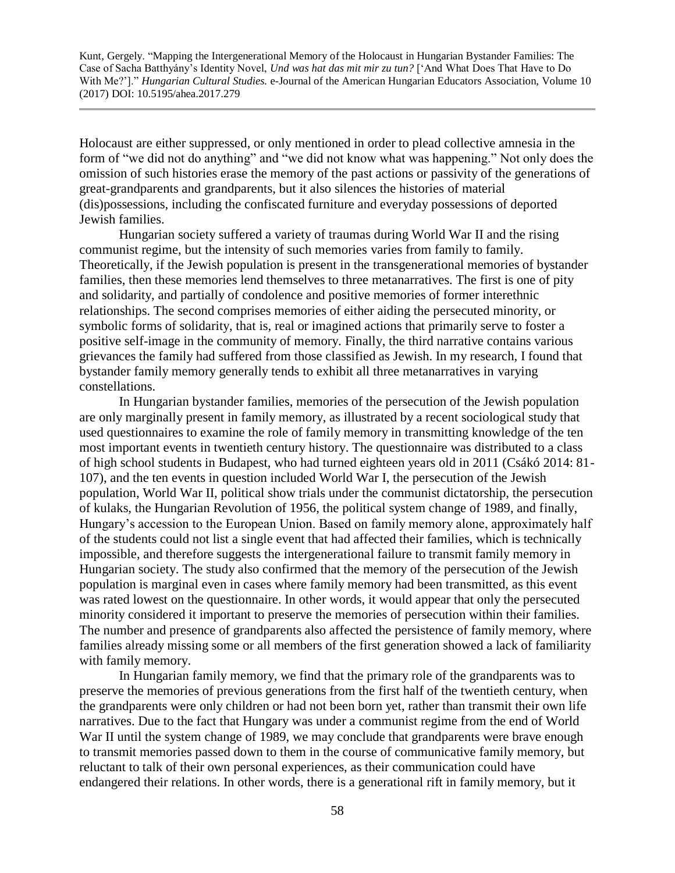Holocaust are either suppressed, or only mentioned in order to plead collective amnesia in the form of "we did not do anything" and "we did not know what was happening." Not only does the omission of such histories erase the memory of the past actions or passivity of the generations of great-grandparents and grandparents, but it also silences the histories of material (dis)possessions, including the confiscated furniture and everyday possessions of deported Jewish families.

Hungarian society suffered a variety of traumas during World War II and the rising communist regime, but the intensity of such memories varies from family to family. Theoretically, if the Jewish population is present in the transgenerational memories of bystander families, then these memories lend themselves to three metanarratives. The first is one of pity and solidarity, and partially of condolence and positive memories of former interethnic relationships. The second comprises memories of either aiding the persecuted minority, or symbolic forms of solidarity, that is, real or imagined actions that primarily serve to foster a positive self-image in the community of memory. Finally, the third narrative contains various grievances the family had suffered from those classified as Jewish. In my research, I found that bystander family memory generally tends to exhibit all three metanarratives in varying constellations.

In Hungarian bystander families, memories of the persecution of the Jewish population are only marginally present in family memory, as illustrated by a recent sociological study that used questionnaires to examine the role of family memory in transmitting knowledge of the ten most important events in twentieth century history. The questionnaire was distributed to a class of high school students in Budapest, who had turned eighteen years old in 2011 (Csákó 2014: 81- 107), and the ten events in question included World War I, the persecution of the Jewish population, World War II, political show trials under the communist dictatorship, the persecution of kulaks, the Hungarian Revolution of 1956, the political system change of 1989, and finally, Hungary's accession to the European Union. Based on family memory alone, approximately half of the students could not list a single event that had affected their families, which is technically impossible, and therefore suggests the intergenerational failure to transmit family memory in Hungarian society. The study also confirmed that the memory of the persecution of the Jewish population is marginal even in cases where family memory had been transmitted, as this event was rated lowest on the questionnaire. In other words, it would appear that only the persecuted minority considered it important to preserve the memories of persecution within their families. The number and presence of grandparents also affected the persistence of family memory, where families already missing some or all members of the first generation showed a lack of familiarity with family memory.

In Hungarian family memory, we find that the primary role of the grandparents was to preserve the memories of previous generations from the first half of the twentieth century, when the grandparents were only children or had not been born yet, rather than transmit their own life narratives. Due to the fact that Hungary was under a communist regime from the end of World War II until the system change of 1989, we may conclude that grandparents were brave enough to transmit memories passed down to them in the course of communicative family memory, but reluctant to talk of their own personal experiences, as their communication could have endangered their relations. In other words, there is a generational rift in family memory, but it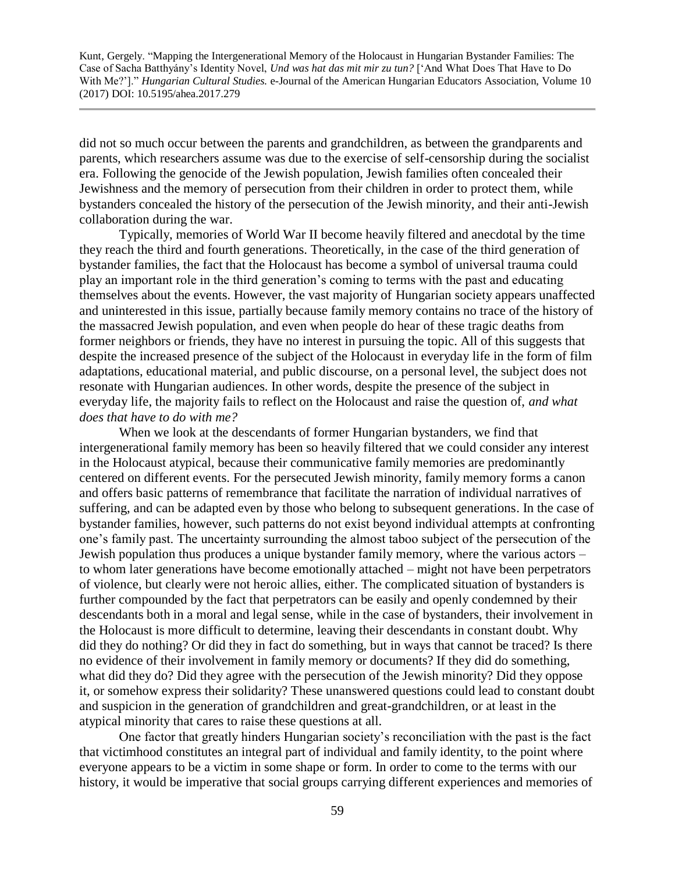did not so much occur between the parents and grandchildren, as between the grandparents and parents, which researchers assume was due to the exercise of self-censorship during the socialist era. Following the genocide of the Jewish population, Jewish families often concealed their Jewishness and the memory of persecution from their children in order to protect them, while bystanders concealed the history of the persecution of the Jewish minority, and their anti-Jewish collaboration during the war.

Typically, memories of World War II become heavily filtered and anecdotal by the time they reach the third and fourth generations. Theoretically, in the case of the third generation of bystander families, the fact that the Holocaust has become a symbol of universal trauma could play an important role in the third generation's coming to terms with the past and educating themselves about the events. However, the vast majority of Hungarian society appears unaffected and uninterested in this issue, partially because family memory contains no trace of the history of the massacred Jewish population, and even when people do hear of these tragic deaths from former neighbors or friends, they have no interest in pursuing the topic. All of this suggests that despite the increased presence of the subject of the Holocaust in everyday life in the form of film adaptations, educational material, and public discourse, on a personal level, the subject does not resonate with Hungarian audiences. In other words, despite the presence of the subject in everyday life, the majority fails to reflect on the Holocaust and raise the question of, *and what does that have to do with me?*

When we look at the descendants of former Hungarian bystanders, we find that intergenerational family memory has been so heavily filtered that we could consider any interest in the Holocaust atypical, because their communicative family memories are predominantly centered on different events. For the persecuted Jewish minority, family memory forms a canon and offers basic patterns of remembrance that facilitate the narration of individual narratives of suffering, and can be adapted even by those who belong to subsequent generations. In the case of bystander families, however, such patterns do not exist beyond individual attempts at confronting one's family past. The uncertainty surrounding the almost taboo subject of the persecution of the Jewish population thus produces a unique bystander family memory, where the various actors – to whom later generations have become emotionally attached – might not have been perpetrators of violence, but clearly were not heroic allies, either. The complicated situation of bystanders is further compounded by the fact that perpetrators can be easily and openly condemned by their descendants both in a moral and legal sense, while in the case of bystanders, their involvement in the Holocaust is more difficult to determine, leaving their descendants in constant doubt. Why did they do nothing? Or did they in fact do something, but in ways that cannot be traced? Is there no evidence of their involvement in family memory or documents? If they did do something, what did they do? Did they agree with the persecution of the Jewish minority? Did they oppose it, or somehow express their solidarity? These unanswered questions could lead to constant doubt and suspicion in the generation of grandchildren and great-grandchildren, or at least in the atypical minority that cares to raise these questions at all.

One factor that greatly hinders Hungarian society's reconciliation with the past is the fact that victimhood constitutes an integral part of individual and family identity, to the point where everyone appears to be a victim in some shape or form. In order to come to the terms with our history, it would be imperative that social groups carrying different experiences and memories of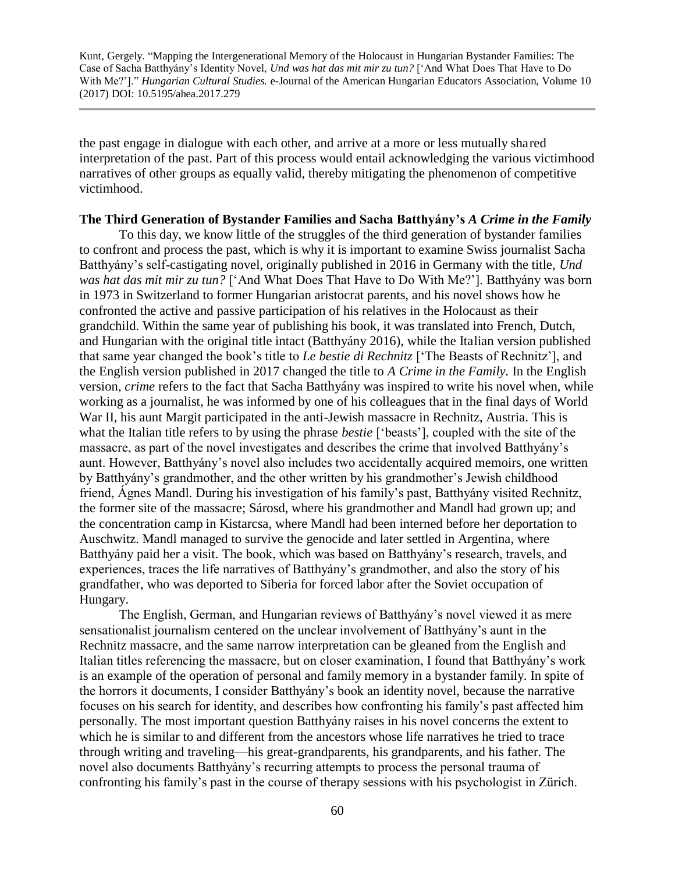the past engage in dialogue with each other, and arrive at a more or less mutually shared interpretation of the past. Part of this process would entail acknowledging the various victimhood narratives of other groups as equally valid, thereby mitigating the phenomenon of competitive victimhood.

#### **The Third Generation of Bystander Families and Sacha Batthyány's** *A Crime in the Family*

To this day, we know little of the struggles of the third generation of bystander families to confront and process the past, which is why it is important to examine Swiss journalist Sacha Batthyány's self-castigating novel, originally published in 2016 in Germany with the title, *Und was hat das mit mir zu tun?* ['And What Does That Have to Do With Me?']. Batthyány was born in 1973 in Switzerland to former Hungarian aristocrat parents, and his novel shows how he confronted the active and passive participation of his relatives in the Holocaust as their grandchild. Within the same year of publishing his book, it was translated into French, Dutch, and Hungarian with the original title intact (Batthyány 2016), while the Italian version published that same year changed the book's title to *Le bestie di Rechnitz* ['The Beasts of Rechnitz'], and the English version published in 2017 changed the title to *A Crime in the Family.* In the English version, *crime* refers to the fact that Sacha Batthyány was inspired to write his novel when, while working as a journalist, he was informed by one of his colleagues that in the final days of World War II, his aunt Margit participated in the anti-Jewish massacre in Rechnitz, Austria. This is what the Italian title refers to by using the phrase *bestie* ['beasts'], coupled with the site of the massacre, as part of the novel investigates and describes the crime that involved Batthyány's aunt. However, Batthyány's novel also includes two accidentally acquired memoirs, one written by Batthyány's grandmother, and the other written by his grandmother's Jewish childhood friend, Ágnes Mandl. During his investigation of his family's past, Batthyány visited Rechnitz, the former site of the massacre; Sárosd, where his grandmother and Mandl had grown up; and the concentration camp in Kistarcsa, where Mandl had been interned before her deportation to Auschwitz. Mandl managed to survive the genocide and later settled in Argentina, where Batthyány paid her a visit. The book, which was based on Batthyány's research, travels, and experiences, traces the life narratives of Batthyány's grandmother, and also the story of his grandfather, who was deported to Siberia for forced labor after the Soviet occupation of Hungary.

The English, German, and Hungarian reviews of Batthyány's novel viewed it as mere sensationalist journalism centered on the unclear involvement of Batthyány's aunt in the Rechnitz massacre, and the same narrow interpretation can be gleaned from the English and Italian titles referencing the massacre, but on closer examination, I found that Batthyány's work is an example of the operation of personal and family memory in a bystander family. In spite of the horrors it documents, I consider Batthyány's book an identity novel, because the narrative focuses on his search for identity, and describes how confronting his family's past affected him personally. The most important question Batthyány raises in his novel concerns the extent to which he is similar to and different from the ancestors whose life narratives he tried to trace through writing and traveling—his great-grandparents, his grandparents, and his father. The novel also documents Batthyány's recurring attempts to process the personal trauma of confronting his family's past in the course of therapy sessions with his psychologist in Zürich.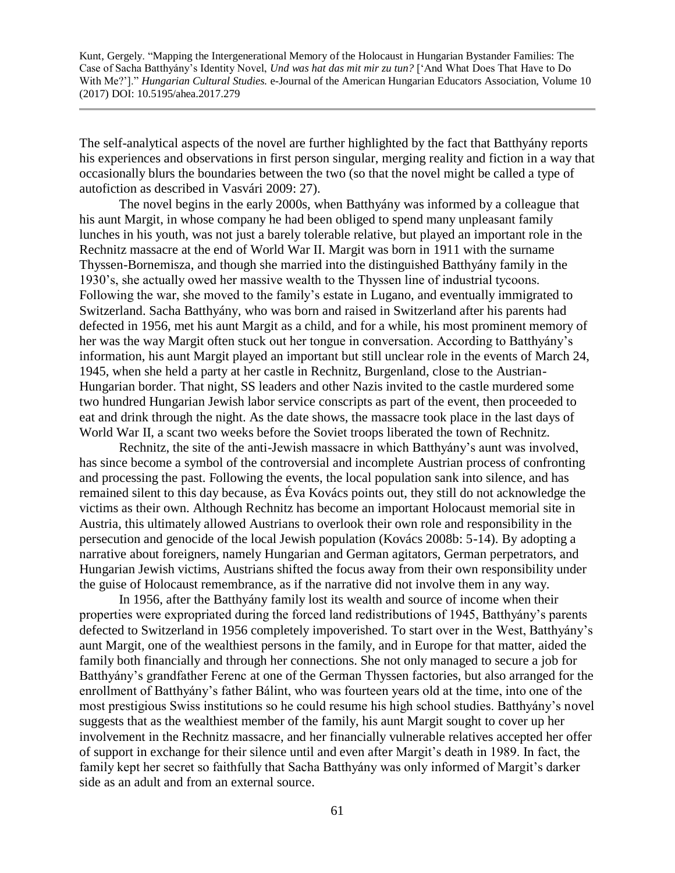The self-analytical aspects of the novel are further highlighted by the fact that Batthyány reports his experiences and observations in first person singular, merging reality and fiction in a way that occasionally blurs the boundaries between the two (so that the novel might be called a type of autofiction as described in Vasvári 2009: 27).

The novel begins in the early 2000s, when Batthyány was informed by a colleague that his aunt Margit, in whose company he had been obliged to spend many unpleasant family lunches in his youth, was not just a barely tolerable relative, but played an important role in the Rechnitz massacre at the end of World War II. Margit was born in 1911 with the surname Thyssen-Bornemisza, and though she married into the distinguished Batthyány family in the 1930's, she actually owed her massive wealth to the Thyssen line of industrial tycoons. Following the war, she moved to the family's estate in Lugano, and eventually immigrated to Switzerland. Sacha Batthyány, who was born and raised in Switzerland after his parents had defected in 1956, met his aunt Margit as a child, and for a while, his most prominent memory of her was the way Margit often stuck out her tongue in conversation. According to Batthyány's information, his aunt Margit played an important but still unclear role in the events of March 24, 1945, when she held a party at her castle in Rechnitz, Burgenland, close to the Austrian-Hungarian border. That night, SS leaders and other Nazis invited to the castle murdered some two hundred Hungarian Jewish labor service conscripts as part of the event, then proceeded to eat and drink through the night. As the date shows, the massacre took place in the last days of World War II, a scant two weeks before the Soviet troops liberated the town of Rechnitz.

Rechnitz, the site of the anti-Jewish massacre in which Batthyány's aunt was involved, has since become a symbol of the controversial and incomplete Austrian process of confronting and processing the past. Following the events, the local population sank into silence, and has remained silent to this day because, as Éva Kovács points out, they still do not acknowledge the victims as their own. Although Rechnitz has become an important Holocaust memorial site in Austria, this ultimately allowed Austrians to overlook their own role and responsibility in the persecution and genocide of the local Jewish population (Kovács 2008b: 5-14). By adopting a narrative about foreigners, namely Hungarian and German agitators, German perpetrators, and Hungarian Jewish victims, Austrians shifted the focus away from their own responsibility under the guise of Holocaust remembrance, as if the narrative did not involve them in any way.

In 1956, after the Batthyány family lost its wealth and source of income when their properties were expropriated during the forced land redistributions of 1945, Batthyány's parents defected to Switzerland in 1956 completely impoverished. To start over in the West, Batthyány's aunt Margit, one of the wealthiest persons in the family, and in Europe for that matter, aided the family both financially and through her connections. She not only managed to secure a job for Batthyány's grandfather Ferenc at one of the German Thyssen factories, but also arranged for the enrollment of Batthyány's father Bálint, who was fourteen years old at the time, into one of the most prestigious Swiss institutions so he could resume his high school studies. Batthyány's novel suggests that as the wealthiest member of the family, his aunt Margit sought to cover up her involvement in the Rechnitz massacre, and her financially vulnerable relatives accepted her offer of support in exchange for their silence until and even after Margit's death in 1989. In fact, the family kept her secret so faithfully that Sacha Batthyány was only informed of Margit's darker side as an adult and from an external source.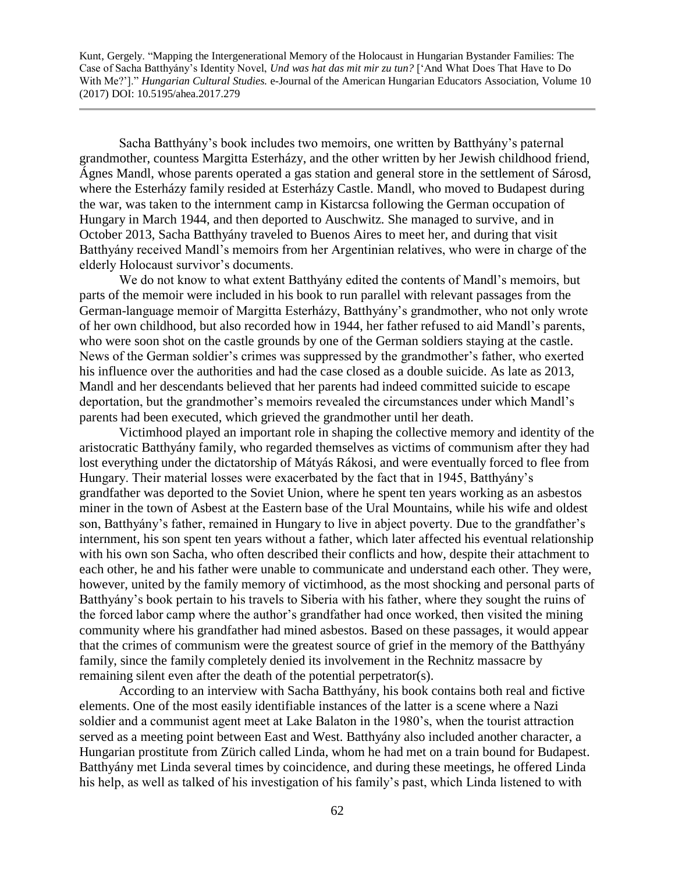Sacha Batthyány's book includes two memoirs, one written by Batthyány's paternal grandmother, countess Margitta Esterházy, and the other written by her Jewish childhood friend, Ágnes Mandl, whose parents operated a gas station and general store in the settlement of Sárosd, where the Esterházy family resided at Esterházy Castle. Mandl, who moved to Budapest during the war, was taken to the internment camp in Kistarcsa following the German occupation of Hungary in March 1944, and then deported to Auschwitz. She managed to survive, and in October 2013, Sacha Batthyány traveled to Buenos Aires to meet her, and during that visit Batthyány received Mandl's memoirs from her Argentinian relatives, who were in charge of the elderly Holocaust survivor's documents.

We do not know to what extent Batthyány edited the contents of Mandl's memoirs, but parts of the memoir were included in his book to run parallel with relevant passages from the German-language memoir of Margitta Esterházy, Batthyány's grandmother, who not only wrote of her own childhood, but also recorded how in 1944, her father refused to aid Mandl's parents, who were soon shot on the castle grounds by one of the German soldiers staying at the castle. News of the German soldier's crimes was suppressed by the grandmother's father, who exerted his influence over the authorities and had the case closed as a double suicide. As late as 2013, Mandl and her descendants believed that her parents had indeed committed suicide to escape deportation, but the grandmother's memoirs revealed the circumstances under which Mandl's parents had been executed, which grieved the grandmother until her death.

Victimhood played an important role in shaping the collective memory and identity of the aristocratic Batthyány family, who regarded themselves as victims of communism after they had lost everything under the dictatorship of Mátyás Rákosi, and were eventually forced to flee from Hungary. Their material losses were exacerbated by the fact that in 1945, Batthyány's grandfather was deported to the Soviet Union, where he spent ten years working as an asbestos miner in the town of Asbest at the Eastern base of the Ural Mountains, while his wife and oldest son, Batthyány's father, remained in Hungary to live in abject poverty. Due to the grandfather's internment, his son spent ten years without a father, which later affected his eventual relationship with his own son Sacha, who often described their conflicts and how, despite their attachment to each other, he and his father were unable to communicate and understand each other. They were, however, united by the family memory of victimhood, as the most shocking and personal parts of Batthyány's book pertain to his travels to Siberia with his father, where they sought the ruins of the forced labor camp where the author's grandfather had once worked, then visited the mining community where his grandfather had mined asbestos. Based on these passages, it would appear that the crimes of communism were the greatest source of grief in the memory of the Batthyány family, since the family completely denied its involvement in the Rechnitz massacre by remaining silent even after the death of the potential perpetrator(s).

According to an interview with Sacha Batthyány, his book contains both real and fictive elements. One of the most easily identifiable instances of the latter is a scene where a Nazi soldier and a communist agent meet at Lake Balaton in the 1980's, when the tourist attraction served as a meeting point between East and West. Batthyány also included another character, a Hungarian prostitute from Zürich called Linda, whom he had met on a train bound for Budapest. Batthyány met Linda several times by coincidence, and during these meetings, he offered Linda his help, as well as talked of his investigation of his family's past, which Linda listened to with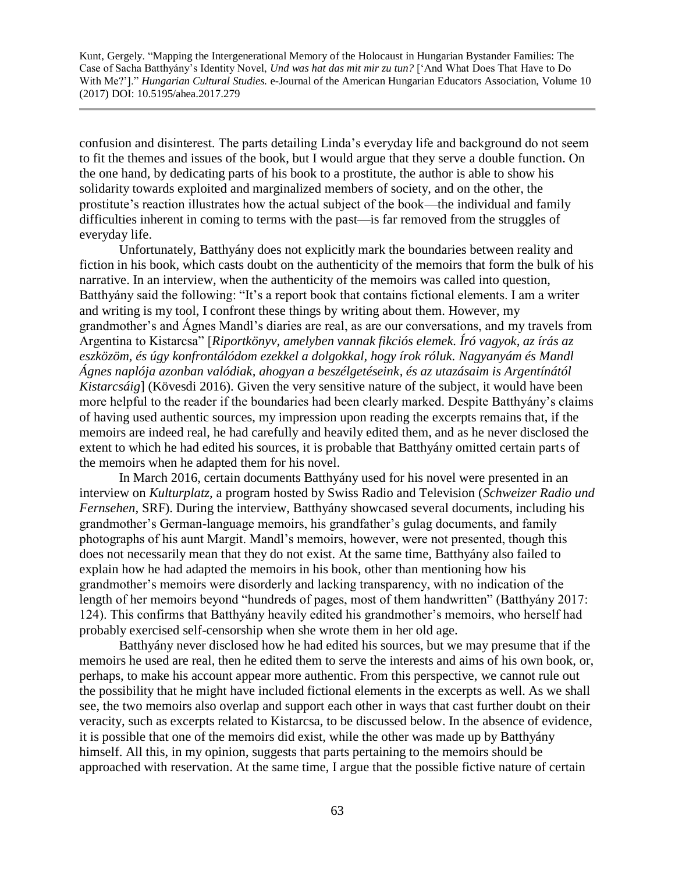confusion and disinterest. The parts detailing Linda's everyday life and background do not seem to fit the themes and issues of the book, but I would argue that they serve a double function. On the one hand, by dedicating parts of his book to a prostitute, the author is able to show his solidarity towards exploited and marginalized members of society, and on the other, the prostitute's reaction illustrates how the actual subject of the book—the individual and family difficulties inherent in coming to terms with the past—is far removed from the struggles of everyday life.

Unfortunately, Batthyány does not explicitly mark the boundaries between reality and fiction in his book, which casts doubt on the authenticity of the memoirs that form the bulk of his narrative. In an interview, when the authenticity of the memoirs was called into question, Batthyány said the following: "It's a report book that contains fictional elements. I am a writer and writing is my tool, I confront these things by writing about them. However, my grandmother's and Ágnes Mandl's diaries are real, as are our conversations, and my travels from Argentina to Kistarcsa" [*Riportkönyv, amelyben vannak fikciós elemek. Író vagyok, az írás az eszközöm, és úgy konfrontálódom ezekkel a dolgokkal, hogy írok róluk. Nagyanyám és Mandl Ágnes naplója azonban valódiak, ahogyan a beszélgetéseink, és az utazásaim is Argentínától Kistarcsáig*] (Kövesdi 2016). Given the very sensitive nature of the subject, it would have been more helpful to the reader if the boundaries had been clearly marked. Despite Batthyány's claims of having used authentic sources, my impression upon reading the excerpts remains that, if the memoirs are indeed real, he had carefully and heavily edited them, and as he never disclosed the extent to which he had edited his sources, it is probable that Batthyány omitted certain parts of the memoirs when he adapted them for his novel.

In March 2016, certain documents Batthyány used for his novel were presented in an interview on *Kulturplatz,* a program hosted by Swiss Radio and Television (*Schweizer Radio und Fernsehen,* SRF). During the interview, Batthyány showcased several documents, including his grandmother's German-language memoirs, his grandfather's gulag documents, and family photographs of his aunt Margit. Mandl's memoirs, however, were not presented, though this does not necessarily mean that they do not exist. At the same time, Batthyány also failed to explain how he had adapted the memoirs in his book, other than mentioning how his grandmother's memoirs were disorderly and lacking transparency, with no indication of the length of her memoirs beyond "hundreds of pages, most of them handwritten" (Batthyány 2017: 124). This confirms that Batthyány heavily edited his grandmother's memoirs, who herself had probably exercised self-censorship when she wrote them in her old age.

Batthyány never disclosed how he had edited his sources, but we may presume that if the memoirs he used are real, then he edited them to serve the interests and aims of his own book, or, perhaps, to make his account appear more authentic. From this perspective, we cannot rule out the possibility that he might have included fictional elements in the excerpts as well. As we shall see, the two memoirs also overlap and support each other in ways that cast further doubt on their veracity, such as excerpts related to Kistarcsa, to be discussed below. In the absence of evidence, it is possible that one of the memoirs did exist, while the other was made up by Batthyány himself. All this, in my opinion, suggests that parts pertaining to the memoirs should be approached with reservation. At the same time, I argue that the possible fictive nature of certain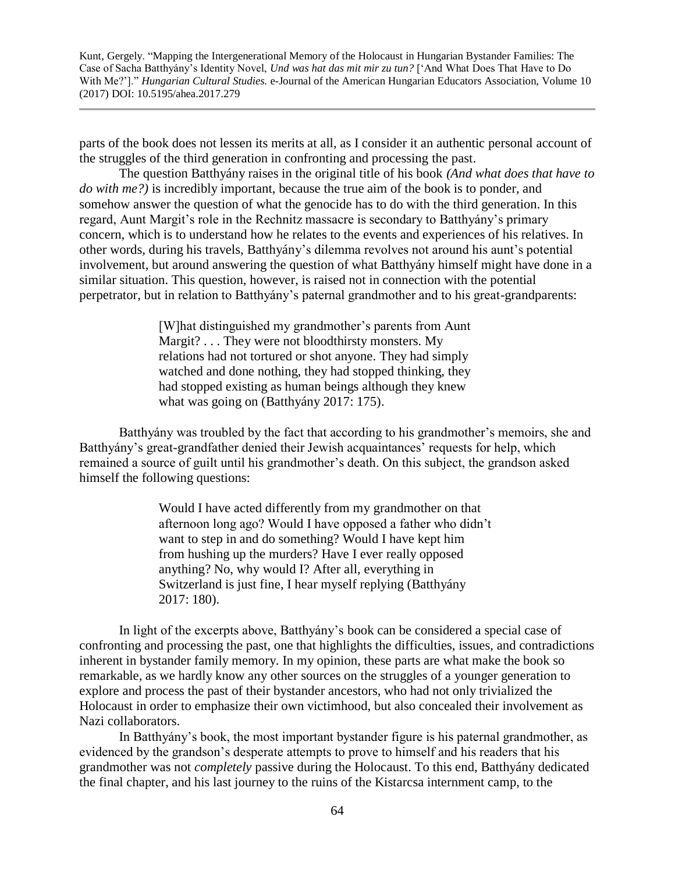parts of the book does not lessen its merits at all, as I consider it an authentic personal account of the struggles of the third generation in confronting and processing the past.

The question Batthyány raises in the original title of his book *(And what does that have to do with me?)* is incredibly important, because the true aim of the book is to ponder, and somehow answer the question of what the genocide has to do with the third generation. In this regard, Aunt Margit's role in the Rechnitz massacre is secondary to Batthyány's primary concern, which is to understand how he relates to the events and experiences of his relatives. In other words, during his travels, Batthyány's dilemma revolves not around his aunt's potential involvement, but around answering the question of what Batthyány himself might have done in a similar situation. This question, however, is raised not in connection with the potential perpetrator, but in relation to Batthyány's paternal grandmother and to his great-grandparents:

> [W]hat distinguished my grandmother's parents from Aunt Margit? . . . They were not bloodthirsty monsters. My relations had not tortured or shot anyone. They had simply watched and done nothing, they had stopped thinking, they had stopped existing as human beings although they knew what was going on (Batthyány 2017: 175).

Batthyány was troubled by the fact that according to his grandmother's memoirs, she and Batthyány's great-grandfather denied their Jewish acquaintances' requests for help, which remained a source of guilt until his grandmother's death. On this subject, the grandson asked himself the following questions:

> Would I have acted differently from my grandmother on that afternoon long ago? Would I have opposed a father who didn't want to step in and do something? Would I have kept him from hushing up the murders? Have I ever really opposed anything? No, why would I? After all, everything in Switzerland is just fine, I hear myself replying (Batthyány 2017: 180).

In light of the excerpts above, Batthyány's book can be considered a special case of confronting and processing the past, one that highlights the difficulties, issues, and contradictions inherent in bystander family memory. In my opinion, these parts are what make the book so remarkable, as we hardly know any other sources on the struggles of a younger generation to explore and process the past of their bystander ancestors, who had not only trivialized the Holocaust in order to emphasize their own victimhood, but also concealed their involvement as Nazi collaborators.

In Batthyány's book, the most important bystander figure is his paternal grandmother, as evidenced by the grandson's desperate attempts to prove to himself and his readers that his grandmother was not *completely* passive during the Holocaust. To this end, Batthyány dedicated the final chapter, and his last journey to the ruins of the Kistarcsa internment camp, to the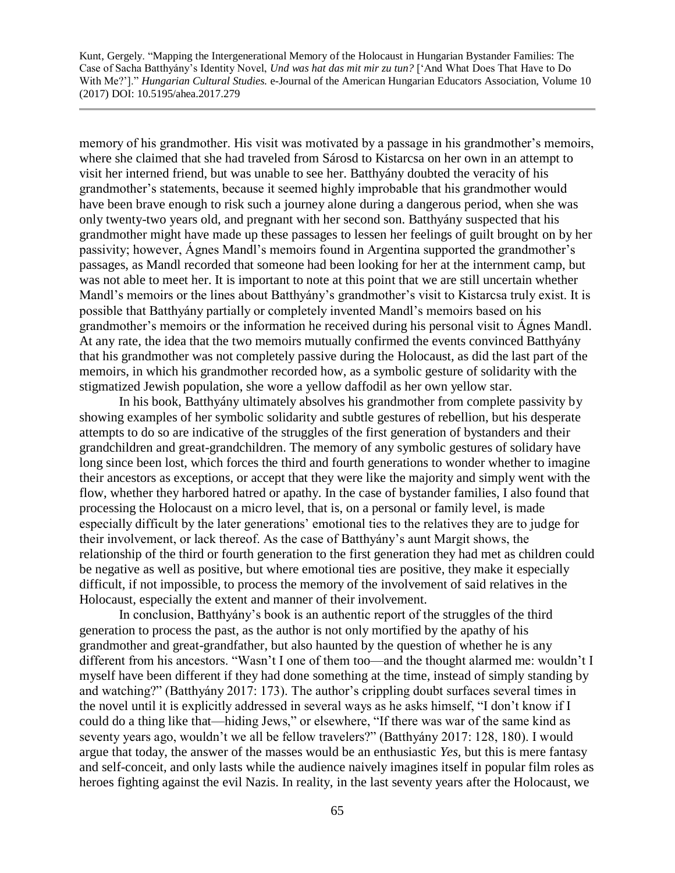memory of his grandmother. His visit was motivated by a passage in his grandmother's memoirs, where she claimed that she had traveled from Sárosd to Kistarcsa on her own in an attempt to visit her interned friend, but was unable to see her. Batthyány doubted the veracity of his grandmother's statements, because it seemed highly improbable that his grandmother would have been brave enough to risk such a journey alone during a dangerous period, when she was only twenty-two years old, and pregnant with her second son. Batthyány suspected that his grandmother might have made up these passages to lessen her feelings of guilt brought on by her passivity; however, Ágnes Mandl's memoirs found in Argentina supported the grandmother's passages, as Mandl recorded that someone had been looking for her at the internment camp, but was not able to meet her. It is important to note at this point that we are still uncertain whether Mandl's memoirs or the lines about Batthyány's grandmother's visit to Kistarcsa truly exist. It is possible that Batthyány partially or completely invented Mandl's memoirs based on his grandmother's memoirs or the information he received during his personal visit to Ágnes Mandl. At any rate, the idea that the two memoirs mutually confirmed the events convinced Batthyány that his grandmother was not completely passive during the Holocaust, as did the last part of the memoirs, in which his grandmother recorded how, as a symbolic gesture of solidarity with the stigmatized Jewish population, she wore a yellow daffodil as her own yellow star.

In his book, Batthyány ultimately absolves his grandmother from complete passivity by showing examples of her symbolic solidarity and subtle gestures of rebellion, but his desperate attempts to do so are indicative of the struggles of the first generation of bystanders and their grandchildren and great-grandchildren. The memory of any symbolic gestures of solidary have long since been lost, which forces the third and fourth generations to wonder whether to imagine their ancestors as exceptions, or accept that they were like the majority and simply went with the flow, whether they harbored hatred or apathy. In the case of bystander families, I also found that processing the Holocaust on a micro level, that is, on a personal or family level, is made especially difficult by the later generations' emotional ties to the relatives they are to judge for their involvement, or lack thereof. As the case of Batthyány's aunt Margit shows, the relationship of the third or fourth generation to the first generation they had met as children could be negative as well as positive, but where emotional ties are positive, they make it especially difficult, if not impossible, to process the memory of the involvement of said relatives in the Holocaust, especially the extent and manner of their involvement.

In conclusion, Batthyány's book is an authentic report of the struggles of the third generation to process the past, as the author is not only mortified by the apathy of his grandmother and great-grandfather, but also haunted by the question of whether he is any different from his ancestors. "Wasn't I one of them too—and the thought alarmed me: wouldn't I myself have been different if they had done something at the time, instead of simply standing by and watching?" (Batthyány 2017: 173). The author's crippling doubt surfaces several times in the novel until it is explicitly addressed in several ways as he asks himself, "I don't know if I could do a thing like that—hiding Jews," or elsewhere, "If there was war of the same kind as seventy years ago, wouldn't we all be fellow travelers?" (Batthyány 2017: 128, 180). I would argue that today, the answer of the masses would be an enthusiastic *Yes,* but this is mere fantasy and self-conceit, and only lasts while the audience naively imagines itself in popular film roles as heroes fighting against the evil Nazis. In reality, in the last seventy years after the Holocaust, we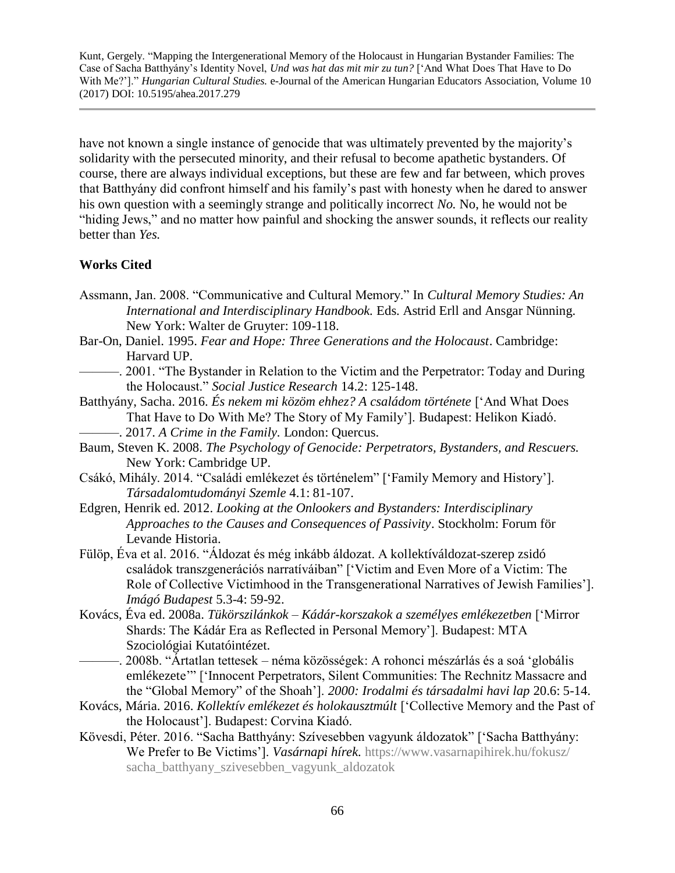have not known a single instance of genocide that was ultimately prevented by the majority's solidarity with the persecuted minority, and their refusal to become apathetic bystanders. Of course, there are always individual exceptions, but these are few and far between, which proves that Batthyány did confront himself and his family's past with honesty when he dared to answer his own question with a seemingly strange and politically incorrect *No.* No, he would not be "hiding Jews," and no matter how painful and shocking the answer sounds, it reflects our reality better than *Yes.*

### **Works Cited**

- Assmann, Jan. 2008. "Communicative and Cultural Memory." In *Cultural Memory Studies: An International and Interdisciplinary Handbook.* Eds. Astrid Erll and Ansgar Nünning. New York: Walter de Gruyter: 109-118.
- Bar-On, Daniel. 1995. *Fear and Hope: Three Generations and the Holocaust*. Cambridge: Harvard UP.
- ———. 2001. "The Bystander in Relation to the Victim and the Perpetrator: Today and During the Holocaust." *Social Justice Research* 14.2: 125-148.
- Batthyány, Sacha. 2016. *És nekem mi közöm ehhez? A családom története* ['And What Does That Have to Do With Me? The Story of My Family']. Budapest: Helikon Kiadó. ———. 2017. *A Crime in the Family.* London: Quercus.
- Baum, Steven K. 2008. *The Psychology of Genocide: Perpetrators, Bystanders, and Rescuers.* New York: Cambridge UP.
- Csákó, Mihály. 2014. "Családi emlékezet és történelem" ['Family Memory and History']. *Társadalomtudományi Szemle* 4.1: 81-107.
- Edgren, Henrik ed. 2012. *Looking at the Onlookers and Bystanders: Interdisciplinary Approaches to the Causes and Consequences of Passivity*. Stockholm: Forum för Levande Historia.
- Fülöp, Éva et al. 2016. "Áldozat és még inkább áldozat. A kollektíváldozat-szerep zsidó családok transzgenerációs narratíváiban" ['Victim and Even More of a Victim: The Role of Collective Victimhood in the Transgenerational Narratives of Jewish Families']. *Imágó Budapest* 5.3-4: 59-92.
- Kovács, Éva ed. 2008a. *Tükörszilánkok Kádár-korszakok a személyes emlékezetben* ['Mirror Shards: The Kádár Era as Reflected in Personal Memory']. Budapest: MTA Szociológiai Kutatóintézet.
	- ———. 2008b. "Ártatlan tettesek néma közösségek: A rohonci mészárlás és a soá 'globális emlékezete'" ['Innocent Perpetrators, Silent Communities: The Rechnitz Massacre and the "Global Memory" of the Shoah']. *2000: Irodalmi és társadalmi havi lap* 20.6: 5-14.
- Kovács, Mária. 2016. *Kollektív emlékezet és holokausztmúlt* ['Collective Memory and the Past of the Holocaust']. Budapest: Corvina Kiadó.
- Kövesdi, Péter. 2016. "Sacha Batthyány: Szívesebben vagyunk áldozatok" ['Sacha Batthyány: We Prefer to Be Victims']. *Vasárnapi hírek.* [https://www.vasarnapihirek.hu/fokusz/](https://www.vasarnapihirek.hu/fokusz/%20sacha_batthyany_szivesebben_vagyunk_aldozatok)  [sacha\\_batthyany\\_szivesebben\\_vagyunk\\_aldozatok](https://www.vasarnapihirek.hu/fokusz/%20sacha_batthyany_szivesebben_vagyunk_aldozatok)